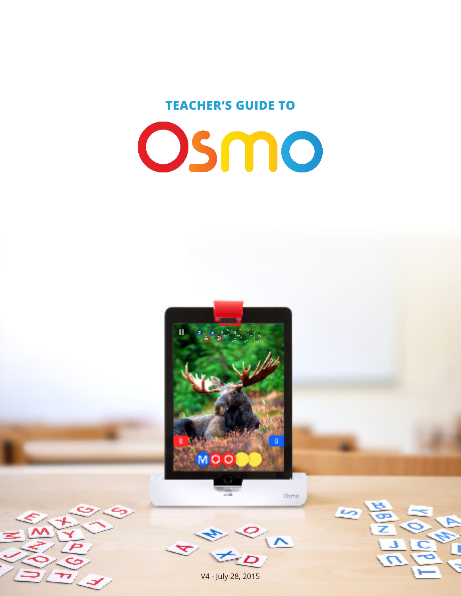## **TEACHER'S GUIDE TO**



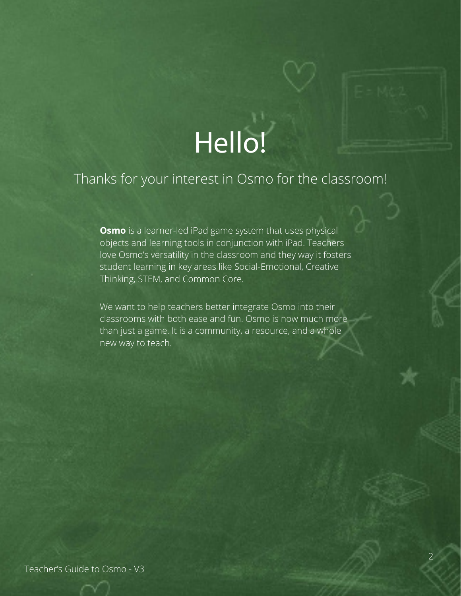# Hello!

## Thanks for your interest in Osmo for the classroom!

**Osmo** is a learner-led iPad game system that uses physical objects and learning tools in conjunction with iPad. Teachers love Osmo's versatility in the classroom and they way it fosters student learning in key areas like Social-Emotional, Creative Thinking, STEM, and Common Core.

We want to help teachers better integrate Osmo into their classrooms with both ease and fun. Osmo is now much more than just a game. It is a community, a resource, and a whole new way to teach.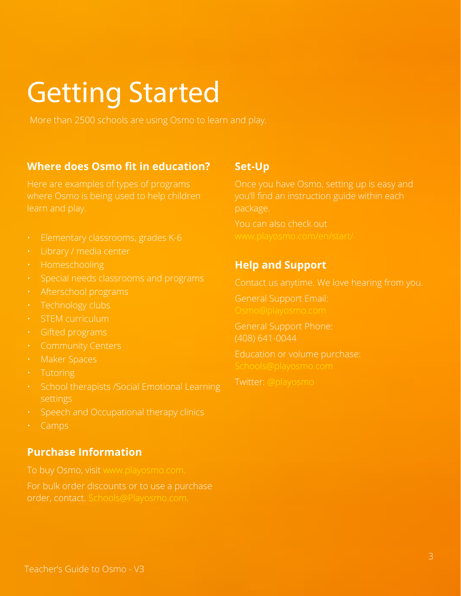# Getting Started

#### **Where does Osmo fit in education?**

where Osmo is being used to help children learn and play.

- 
- 
- Homeschooling
- 
- 
- Technology clubs
- STEM curriculum
- 
- 
- 
- Tutoring
- School therapists /Social Emotional Learning
- Speech and Occupational therapy clinics
- Camps

## **Purchase Information**

For bulk order discounts or to use a purchase order, contact. Schools@Playosmo.com.

#### **Set-Up**

Once you have Osmo, setting up is easy and you'll find an instruction guide within each package.

You can also check out

## **Help and Support**

General Support Email:

General Support Phone: (408) 641-0044

Twitter: @playosmo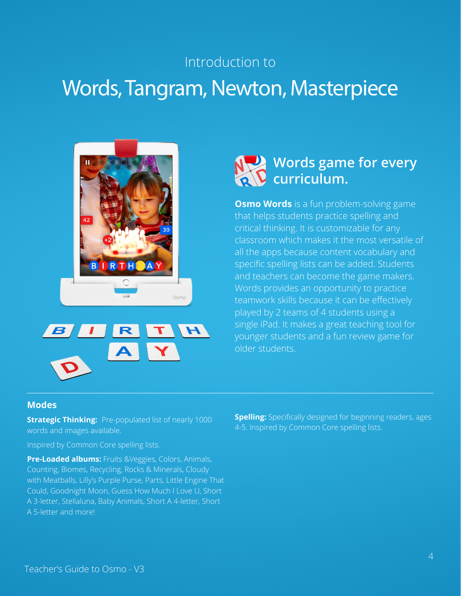## Introduction to

# Words, Tangram, Newton, Masterpiece







**Osmo Words** is a fun problem-solving game that helps students practice spelling and critical thinking. It is customizable for any classroom which makes it the most versatile of all the apps because content vocabulary and specific spelling lists can be added. Students and teachers can become the game makers. Words provides an opportunity to practice teamwork skills because it can be effectively played by 2 teams of 4 students using a single iPad. It makes a great teaching tool for younger students and a fun review game for older students.

#### **Modes**

**Strategic Thinking: Pre-populated list of nearly 1000** words and images available.

Inspired by Common Core spelling lists.

**Pre-Loaded albums:** Fruits &Veggies, Colors, Animals, Counting, Biomes, Recycling, Rocks & Minerals, Cloudy with Meatballs, Lilly's Purple Purse, Parts, Little Engine That Could, Goodnight Moon, Guess How Much I Love U, Short A 3-letter, Stellaluna, Baby Animals, Short A 4-letter, Short A 5-letter and more!

**Spelling:** Specifically designed for beginning readers, ages 4-5. Inspired by Common Core spelling lists.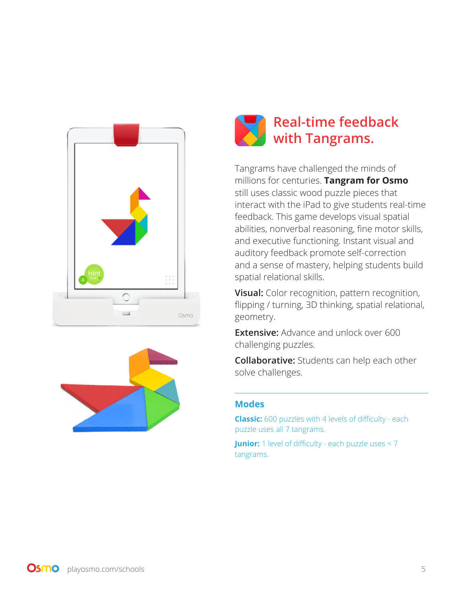





Tangrams have challenged the minds of millions for centuries. **Tangram for Osmo** still uses classic wood puzzle pieces that interact with the iPad to give students real-time feedback. This game develops visual spatial abilities, nonverbal reasoning, fine motor skills, and executive functioning. Instant visual and auditory feedback promote self-correction and a sense of mastery, helping students build spatial relational skills.

**Visual:** Color recognition, pattern recognition, flipping / turning, 3D thinking, spatial relational, geometry.

**Extensive:** Advance and unlock over 600 challenging puzzles.

**Collaborative:** Students can help each other solve challenges.

#### **Modes**

**Classic:** 600 puzzles with 4 levels of difficulty - each puzzle uses all 7 tangrams.

**Junior:** 1 level of difficulty - each puzzle uses < 7 tangrams.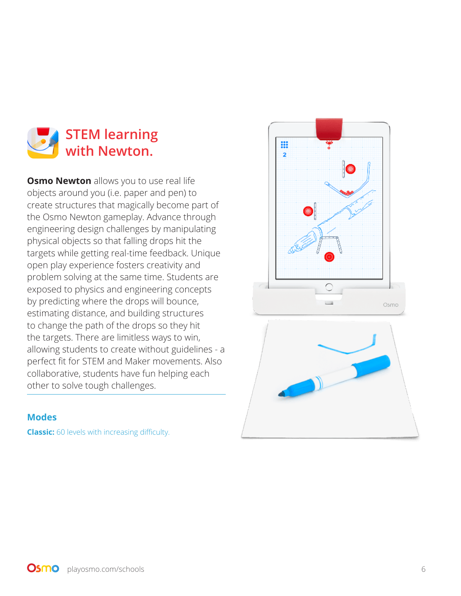

**Osmo Newton** allows you to use real life objects around you (i.e. paper and pen) to create structures that magically become part of the Osmo Newton gameplay. Advance through engineering design challenges by manipulating physical objects so that falling drops hit the targets while getting real-time feedback. Unique open play experience fosters creativity and problem solving at the same time. Students are exposed to physics and engineering concepts by predicting where the drops will bounce, estimating distance, and building structures to change the path of the drops so they hit the targets. There are limitless ways to win, allowing students to create without guidelines - a perfect fit for STEM and Maker movements. Also collaborative, students have fun helping each other to solve tough challenges.

#### **Modes**

**Classic:** 60 levels with increasing difficulty.

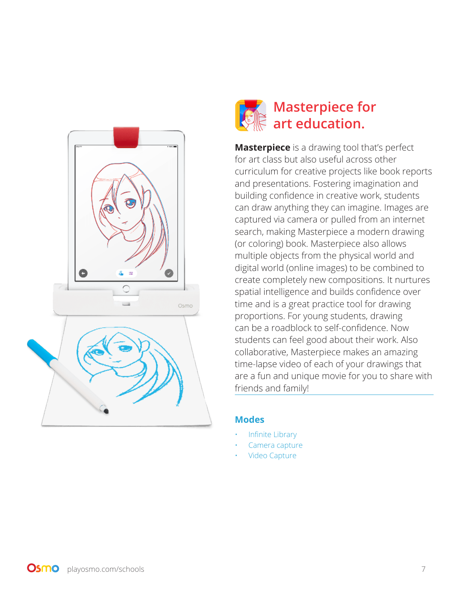

## **Masterpiece for art education.**

**Masterpiece** is a drawing tool that's perfect for art class but also useful across other curriculum for creative projects like book reports and presentations. Fostering imagination and building confidence in creative work, students can draw anything they can imagine. Images are captured via camera or pulled from an internet search, making Masterpiece a modern drawing (or coloring) book. Masterpiece also allows multiple objects from the physical world and digital world (online images) to be combined to create completely new compositions. It nurtures spatial intelligence and builds confidence over time and is a great practice tool for drawing proportions. For young students, drawing can be a roadblock to self-confidence. Now students can feel good about their work. Also collaborative, Masterpiece makes an amazing time-lapse video of each of your drawings that are a fun and unique movie for you to share with friends and family!

#### **Modes**

- Infinite Library
- Camera capture
- Video Capture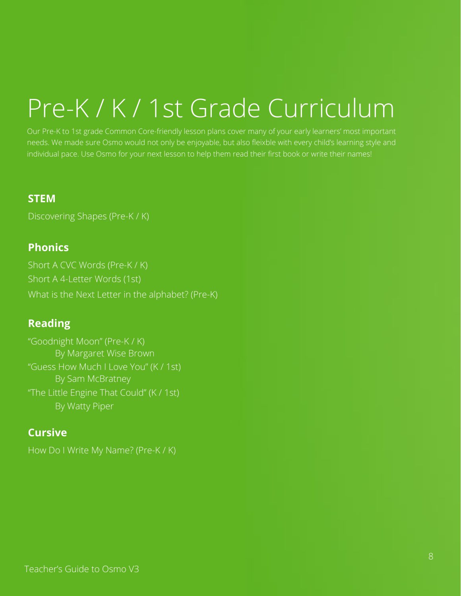# Pre-K / K / 1st Grade Curriculum

Our Pre-K to 1st grade Common Core-friendly lesson plans cover many of your early learners' most important needs. We made sure Osmo would not only be enjoyable, but also fleixble with every child's learning style and individual pace. Use Osmo for your next lesson to help them read their first book or write their names!

## **STEM**

Discovering Shapes (Pre-K / K)

## **Phonics**

Short A CVC Words (Pre-K / K) Short A 4-Letter Words (1st) What is the Next Letter in the alphabet? (Pre-K)

## **Reading**

"Goodnight Moon" (Pre-K / K) By Margaret Wise Brown "Guess How Much I Love You" (K / 1st) By Sam McBratney "The Little Engine That Could" (K / 1st) By Watty Piper

## **Cursive**

How Do I Write My Name? (Pre-K / K)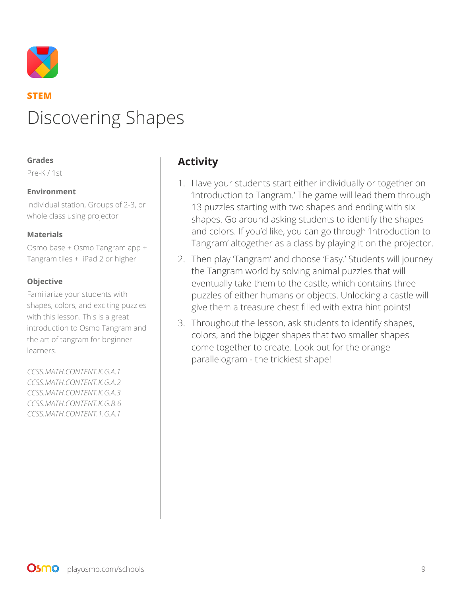

## **STEM** Discovering Shapes

#### **Grades**

Pre-K / 1st

#### **Environment**

Individual station, Groups of 2-3, or whole class using projector

#### **Materials**

Osmo base + Osmo Tangram app + Tangram tiles + iPad 2 or higher

#### **Objective**

Familiarize your students with shapes, colors, and exciting puzzles with this lesson. This is a great introduction to Osmo Tangram and the art of tangram for beginner learners.

*CCSS.MATH.CONTENT.K.G.A.1 CCSS.MATH.CONTENT.K.G.A.2 CCSS.MATH.CONTENT.K.G.A.3 CCSS.MATH.CONTENT.K.G.B.6 CCSS.MATH.CONTENT.1.G.A.1*

## **Activity**

- 1. Have your students start either individually or together on 'Introduction to Tangram.' The game will lead them through 13 puzzles starting with two shapes and ending with six shapes. Go around asking students to identify the shapes and colors. If you'd like, you can go through 'Introduction to Tangram' altogether as a class by playing it on the projector.
- 2. Then play 'Tangram' and choose 'Easy.' Students will journey the Tangram world by solving animal puzzles that will eventually take them to the castle, which contains three puzzles of either humans or objects. Unlocking a castle will give them a treasure chest filled with extra hint points!
- 3. Throughout the lesson, ask students to identify shapes, colors, and the bigger shapes that two smaller shapes come together to create. Look out for the orange parallelogram - the trickiest shape!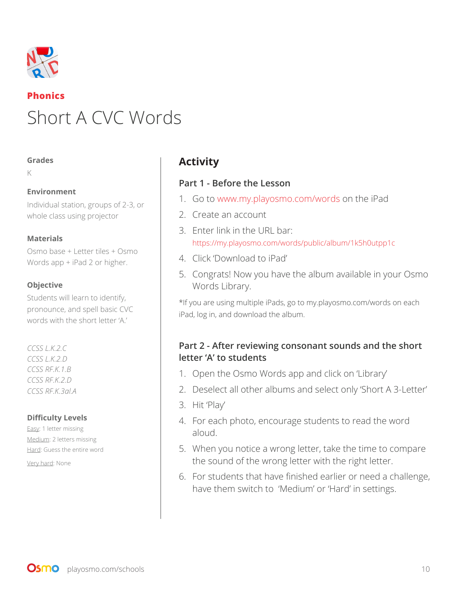

## **Phonics** Short A CVC Words

#### **Grades**

K

#### **Environment**

Individual station, groups of 2-3, or whole class using projector

#### **Materials**

Osmo base + Letter tiles + Osmo Words app + iPad 2 or higher.

#### **Objective**

Students will learn to identify, pronounce, and spell basic CVC words with the short letter 'A.'

*CCSS L.K.2.C CCSS L.K.2.D CCSS RF.K.1.B CCSS RF.K.2.D CCSS RF.K.3al.A*

#### **Difficulty Levels**

Easy: 1 letter missing Medium: 2 letters missing Hard: Guess the entire word

Very hard: None

## **Activity**

#### **Part 1 - Before the Lesson**

- 1. Go to www.my.playosmo.com/words on the iPad
- 2. Create an account
- 3. Enter link in the URL bar: https://my.playosmo.com/words/public/album/1k5h0utpp1c
- 4. Click 'Download to iPad'
- 5. Congrats! Now you have the album available in your Osmo Words Library.

\*If you are using multiple iPads, go to my.playosmo.com/words on each iPad, log in, and download the album.

## **Part 2 - After reviewing consonant sounds and the short letter 'A' to students**

- 1. Open the Osmo Words app and click on 'Library'
- 2. Deselect all other albums and select only 'Short A 3-Letter'
- 3. Hit 'Play'
- 4. For each photo, encourage students to read the word aloud.
- 5. When you notice a wrong letter, take the time to compare the sound of the wrong letter with the right letter.
- 6. For students that have finished earlier or need a challenge, have them switch to 'Medium' or 'Hard' in settings.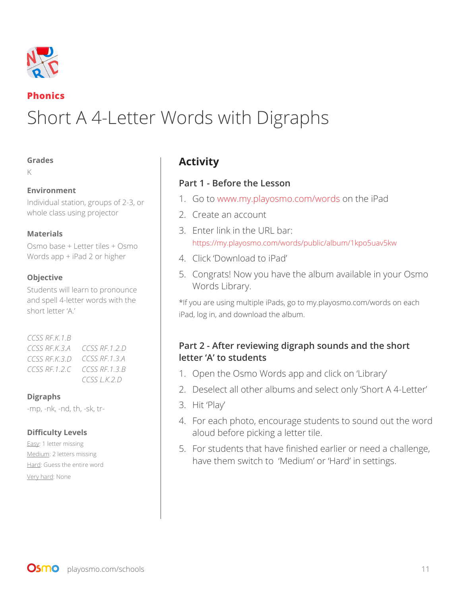

### **Phonics**

# Short A 4-Letter Words with Digraphs

#### **Grades**

K

#### **Environment**

Individual station, groups of 2-3, or whole class using projector

#### **Materials**

Osmo base + Letter tiles + Osmo Words app + iPad 2 or higher

#### **Objective**

Students will learn to pronounce and spell 4-letter words with the short letter 'A.'

#### *CCSS RF.K.1.B CCSS RF.K.3.A CCSS RF.1.2.D CCSS RF.K.3.D CCSS RF.1.3.A CCSS RF.1.2.C CCSS RF.1.3.B CCSS L.K.2.D*

#### **Digraphs**

-mp, -nk, -nd, th, -sk, tr-

#### **Difficulty Levels**

Easy: 1 letter missing Medium: 2 letters missing Hard: Guess the entire word Very hard: None

## **Activity**

#### **Part 1 - Before the Lesson**

- 1. Go to www.my.playosmo.com/words on the iPad
- 2. Create an account
- 3. Enter link in the URL bar: https://my.playosmo.com/words/public/album/1kpo5uav5kw
- 4. Click 'Download to iPad'
- 5. Congrats! Now you have the album available in your Osmo Words Library.

\*If you are using multiple iPads, go to my.playosmo.com/words on each iPad, log in, and download the album.

## **Part 2 - After reviewing digraph sounds and the short letter 'A' to students**

- 1. Open the Osmo Words app and click on 'Library'
- 2. Deselect all other albums and select only 'Short A 4-Letter'
- 3. Hit 'Play'
- 4. For each photo, encourage students to sound out the word aloud before picking a letter tile.
- 5. For students that have finished earlier or need a challenge, have them switch to 'Medium' or 'Hard' in settings.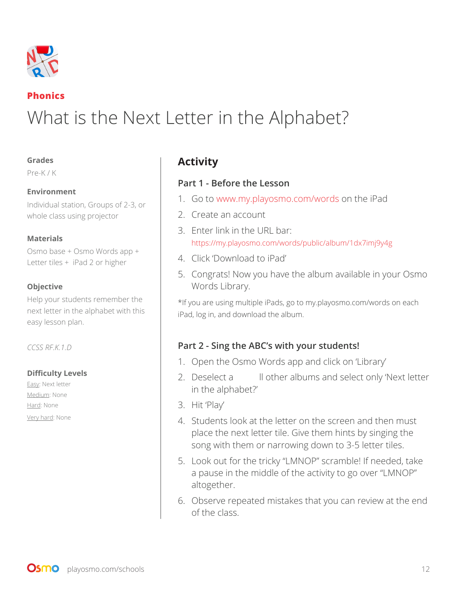

## **Phonics**

# What is the Next Letter in the Alphabet?

#### **Grades**

Pre-K / K

#### **Environment**

Individual station, Groups of 2-3, or whole class using projector

#### **Materials**

Osmo base + Osmo Words app + Letter tiles + iPad 2 or higher

#### **Objective**

Help your students remember the next letter in the alphabet with this easy lesson plan.

*CCSS RF.K.1.D*

#### **Difficulty Levels**

Easy: Next letter Medium: None Hard: None Very hard: None

## **Activity**

#### **Part 1 - Before the Lesson**

- 1. Go to www.my.playosmo.com/words on the iPad
- 2. Create an account
- 3. Enter link in the URL bar: https://my.playosmo.com/words/public/album/1dx7imj9y4g
- 4. Click 'Download to iPad'
- 5. Congrats! Now you have the album available in your Osmo Words Library.

\*If you are using multiple iPads, go to my.playosmo.com/words on each iPad, log in, and download the album.

## **Part 2 - Sing the ABC's with your students!**

- 1. Open the Osmo Words app and click on 'Library'
- 2. Deselect a llother albums and select only 'Next letter in the alphabet?'
- 3. Hit 'Play'
- 4. Students look at the letter on the screen and then must place the next letter tile. Give them hints by singing the song with them or narrowing down to 3-5 letter tiles.
- 5. Look out for the tricky "LMNOP" scramble! If needed, take a pause in the middle of the activity to go over "LMNOP" altogether.
- 6. Observe repeated mistakes that you can review at the end of the class.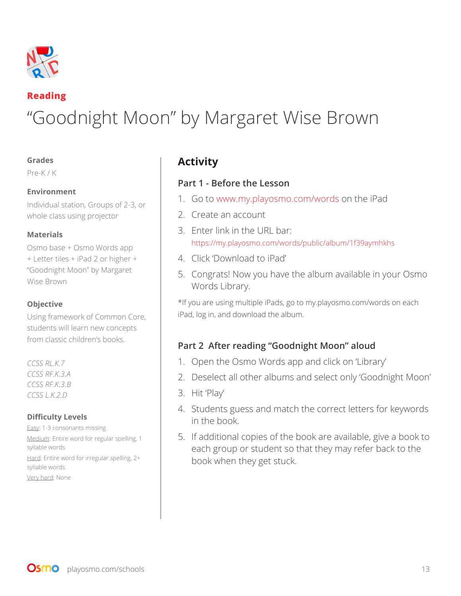

## **Reading** "Goodnight Moon" by Margaret Wise Brown

#### **Grades**

Pre-K / K

#### **Environment**

Individual station, Groups of 2-3, or whole class using projector

#### **Materials**

Osmo base + Osmo Words app + Letter tiles + iPad 2 or higher + "Goodnight Moon" by Margaret Wise Brown

#### **Objective**

Using framework of Common Core, students will learn new concepts from classic children's books.

*CCSS RL.K.7 CCSS RF.K.3.A CCSS RF.K.3.B CCSS L.K.2.D*

#### **Difficulty Levels**

Easy: 1-3 consonants missing Medium: Entire word for regular spelling, 1 syllable words Hard: Entire word for irregular spelling, 2+ syllable words Very hard: None

## **Activity**

#### **Part 1 - Before the Lesson**

- 1. Go to www.my.playosmo.com/words on the iPad
- 2. Create an account
- 3. Enter link in the URL bar: https://my.playosmo.com/words/public/album/1f39aymhkhs
- 4. Click 'Download to iPad'
- 5. Congrats! Now you have the album available in your Osmo Words Library.

\*If you are using multiple iPads, go to my.playosmo.com/words on each iPad, log in, and download the album.

## **Part 2 After reading "Goodnight Moon" aloud**

- 1. Open the Osmo Words app and click on 'Library'
- 2. Deselect all other albums and select only 'Goodnight Moon'
- 3. Hit 'Play'
- 4. Students guess and match the correct letters for keywords in the book.
- 5. If additional copies of the book are available, give a book to each group or student so that they may refer back to the book when they get stuck.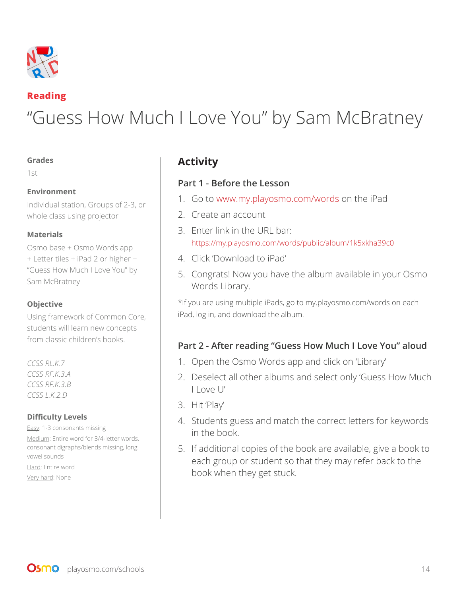

#### **Reading**

# "Guess How Much I Love You" by Sam McBratney

#### **Grades**

1st

#### **Environment**

Individual station, Groups of 2-3, or whole class using projector

#### **Materials**

Osmo base + Osmo Words app + Letter tiles + iPad 2 or higher + "Guess How Much I Love You" by Sam McBratney

#### **Objective**

Using framework of Common Core, students will learn new concepts from classic children's books.

*CCSS RL.K.7 CCSS RF.K.3.A CCSS RF.K.3.B CCSS L.K.2.D*

#### **Difficulty Levels**

Easy: 1-3 consonants missing Medium: Entire word for 3/4-letter words, consonant digraphs/blends missing, long vowel sounds Hard: Entire word

Very hard: None

## **Activity**

#### **Part 1 - Before the Lesson**

- 1. Go to www.my.playosmo.com/words on the iPad
- 2. Create an account
- 3. Enter link in the URL bar: https://my.playosmo.com/words/public/album/1k5xkha39c0
- 4. Click 'Download to iPad'
- 5. Congrats! Now you have the album available in your Osmo Words Library.

\*If you are using multiple iPads, go to my.playosmo.com/words on each iPad, log in, and download the album.

## **Part 2 - After reading "Guess How Much I Love You" aloud**

- 1. Open the Osmo Words app and click on 'Library'
- 2. Deselect all other albums and select only 'Guess How Much I Love U'
- 3. Hit 'Play'
- 4. Students guess and match the correct letters for keywords in the book.
- 5. If additional copies of the book are available, give a book to each group or student so that they may refer back to the book when they get stuck.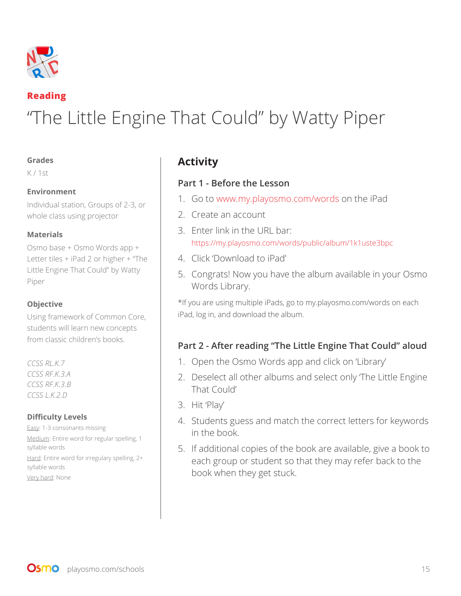

## **Reading**

# "The Little Engine That Could" by Watty Piper

#### **Grades**

K / 1st

#### **Environment**

Individual station, Groups of 2-3, or whole class using projector

#### **Materials**

Osmo base + Osmo Words app + Letter tiles + iPad 2 or higher + "The Little Engine That Could" by Watty Piper

#### **Objective**

Using framework of Common Core, students will learn new concepts from classic children's books.

*CCSS RL.K.7 CCSS RF.K.3.A CCSS RF.K.3.B CCSS L.K.2.D*

#### **Difficulty Levels**

Easy: 1-3 consonants missing Medium: Entire word for regular spelling, 1 syllable words Hard: Entire word for irregulary spelling, 2+ syllable words Very hard: None

## **Activity**

#### **Part 1 - Before the Lesson**

- 1. Go to www.my.playosmo.com/words on the iPad
- 2. Create an account
- 3. Enter link in the URL bar: https://my.playosmo.com/words/public/album/1k1uste3bpc
- 4. Click 'Download to iPad'
- 5. Congrats! Now you have the album available in your Osmo Words Library.

\*If you are using multiple iPads, go to my.playosmo.com/words on each iPad, log in, and download the album.

## **Part 2 - After reading "The Little Engine That Could" aloud**

- 1. Open the Osmo Words app and click on 'Library'
- 2. Deselect all other albums and select only 'The Little Engine That Could'
- 3. Hit 'Play'
- 4. Students guess and match the correct letters for keywords in the book.
- 5. If additional copies of the book are available, give a book to each group or student so that they may refer back to the book when they get stuck.

**OSMO** playosmo.com/schools 15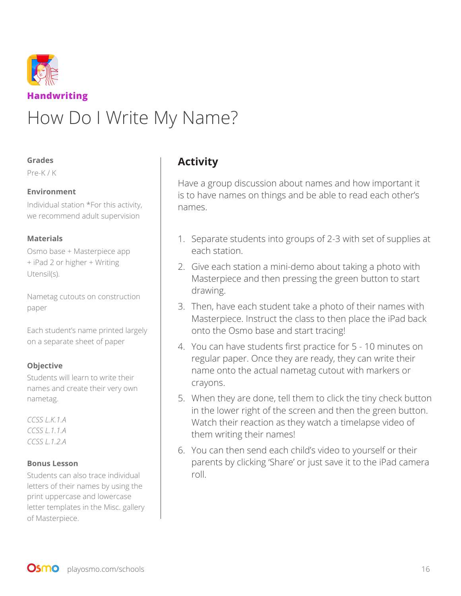

#### **Grades**

Pre-K / K

#### **Environment**

Individual station \*For this activity, we recommend adult supervision

#### **Materials**

Osmo base + Masterpiece app + iPad 2 or higher + Writing Utensil(s).

Nametag cutouts on construction paper

Each student's name printed largely on a separate sheet of paper

#### **Objective**

Students will learn to write their names and create their very own nametag.

*CCSS L.K.1.A CCSS L.1.1.A CCSS L.1.2.A*

#### **Bonus Lesson**

Students can also trace individual letters of their names by using the print uppercase and lowercase letter templates in the Misc. gallery of Masterpiece.

## **Activity**

Have a group discussion about names and how important it is to have names on things and be able to read each other's names.

- 1. Separate students into groups of 2-3 with set of supplies at each station.
- 2. Give each station a mini-demo about taking a photo with Masterpiece and then pressing the green button to start drawing.
- 3. Then, have each student take a photo of their names with Masterpiece. Instruct the class to then place the iPad back onto the Osmo base and start tracing!
- 4. You can have students first practice for 5 10 minutes on regular paper. Once they are ready, they can write their name onto the actual nametag cutout with markers or crayons.
- 5. When they are done, tell them to click the tiny check button in the lower right of the screen and then the green button. Watch their reaction as they watch a timelapse video of them writing their names!
- 6. You can then send each child's video to yourself or their parents by clicking 'Share' or just save it to the iPad camera roll.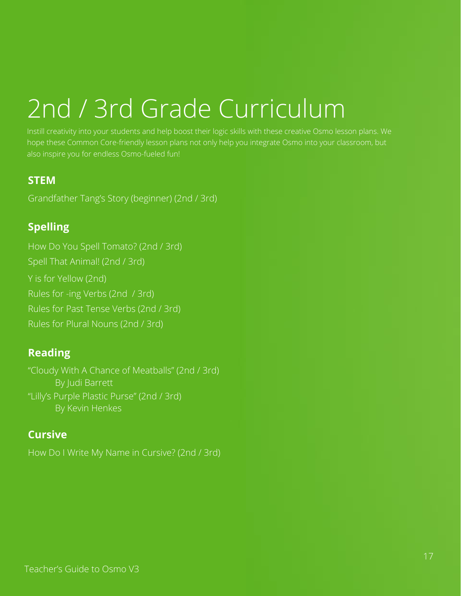# 2nd / 3rd Grade Curriculum

Instill creativity into your students and help boost their logic skills with these creative Osmo lesson plans. We hope these Common Core-friendly lesson plans not only help you integrate Osmo into your classroom, but also inspire you for endless Osmo-fueled fun!

## **STEM**

Grandfather Tang's Story (beginner) (2nd / 3rd)

## **Spelling**

How Do You Spell Tomato? (2nd / 3rd) Spell That Animal! (2nd / 3rd) Y is for Yellow (2nd) Rules for -ing Verbs (2nd / 3rd) Rules for Past Tense Verbs (2nd / 3rd) Rules for Plural Nouns (2nd / 3rd)

## **Reading**

"Cloudy With A Chance of Meatballs" (2nd / 3rd) By Judi Barrett "Lilly's Purple Plastic Purse" (2nd / 3rd) By Kevin Henkes

## **Cursive**

How Do I Write My Name in Cursive? (2nd / 3rd)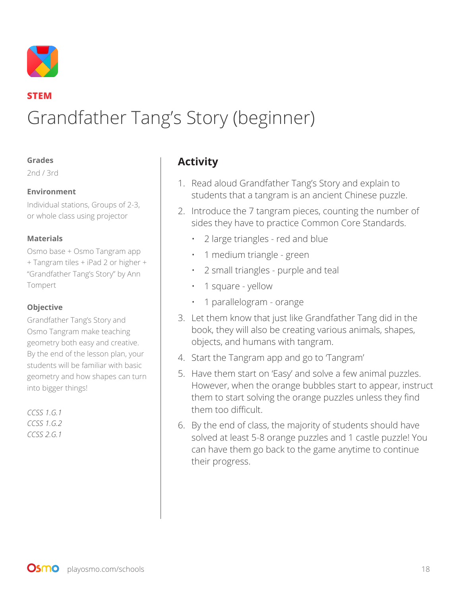

## **STEM** Grandfather Tang's Story (beginner)

#### **Grades**

2nd / 3rd

#### **Environment**

Individual stations, Groups of 2-3, or whole class using projector

#### **Materials**

Osmo base + Osmo Tangram app + Tangram tiles + iPad 2 or higher + "Grandfather Tang's Story" by Ann Tompert

#### **Objective**

Grandfather Tang's Story and Osmo Tangram make teaching geometry both easy and creative. By the end of the lesson plan, your students will be familiar with basic geometry and how shapes can turn into bigger things!

*CCSS 1.G.1 CCSS 1.G.2 CCSS 2.G.1* 

## **Activity**

- 1. Read aloud Grandfather Tang's Story and explain to students that a tangram is an ancient Chinese puzzle.
- 2. Introduce the 7 tangram pieces, counting the number of sides they have to practice Common Core Standards.
	- 2 large triangles red and blue
	- 1 medium triangle green
	- 2 small triangles purple and teal
	- 1 square yellow
	- 1 parallelogram orange
- 3. Let them know that just like Grandfather Tang did in the book, they will also be creating various animals, shapes, objects, and humans with tangram.
- 4. Start the Tangram app and go to 'Tangram'
- 5. Have them start on 'Easy' and solve a few animal puzzles. However, when the orange bubbles start to appear, instruct them to start solving the orange puzzles unless they find them too difficult.
- 6. By the end of class, the majority of students should have solved at least 5-8 orange puzzles and 1 castle puzzle! You can have them go back to the game anytime to continue their progress.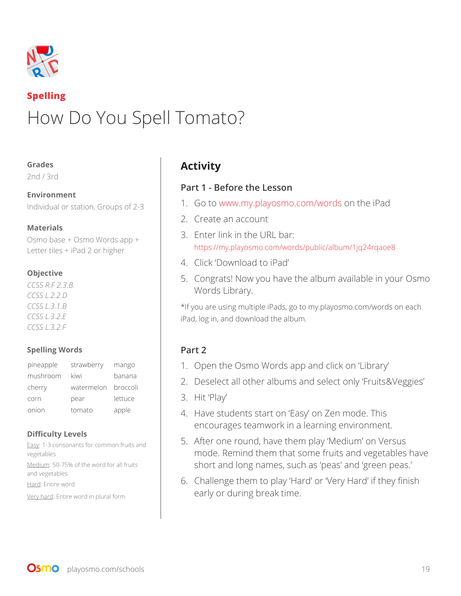

## **Spelling** How Do You Spell Tomato?

#### **Grades**

2nd / 3rd

## **Environment**

Individual or station, Groups of 2-3

#### **Materials**

Osmo base + Osmo Words app + Letter tiles + iPad 2 or higher

#### **Objective**

*CCSS R.F 2.3.B. CCSS L.2.2.D CCSS L.3.1.B CCSS L.3.2.E CCSS L.3.2.F*

#### **Spelling Words**

| pineapple | strawberry          | mango   |
|-----------|---------------------|---------|
| mushroom  | kiwi                | banana  |
| cherry    | watermelon broccoli |         |
| corn      | pear                | lettuce |
| onion     | tomato              | apple   |

#### **Difficulty Levels**

Easy: 1-3 consonants for common fruits and vegetables Medium: 50-75% of the word for all fruits and vegetables Hard: Entire word Very hard: Entire word in plural form

## **Activity**

## **Part 1 - Before the Lesson**

- 1. Go to www.my.playosmo.com/words on the iPad
- 2. Create an account
- 3. Enter link in the URL bar: https://my.playosmo.com/words/public/album/1jq24rqaoe8
- 4. Click 'Download to iPad'
- 5. Congrats! Now you have the album available in your Osmo Words Library.

\*If you are using multiple iPads, go to my.playosmo.com/words on each iPad, log in, and download the album.

## **Part 2**

- 1. Open the Osmo Words app and click on 'Library'
- 2. Deselect all other albums and select only 'Fruits&Veggies'
- 3. Hit 'Play'
- 4. Have students start on 'Easy' on Zen mode. This encourages teamwork in a learning environment.
- 5. After one round, have them play 'Medium' on Versus mode. Remind them that some fruits and vegetables have short and long names, such as 'peas' and 'green peas.'
- 6. Challenge them to play 'Hard' or 'Very Hard' if they finish early or during break time.

**OSMO** playosmo.com/schools 19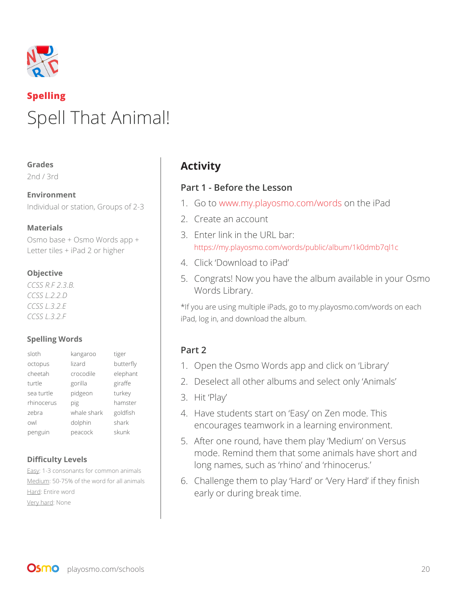

# **Spelling** Spell That Animal!

#### **Grades**

2nd / 3rd

**Environment**  Individual or station, Groups of 2-3

#### **Materials**

Osmo base + Osmo Words app + Letter tiles + iPad 2 or higher

#### **Objective**

*CCSS R.F 2.3.B. CCSS L.2.2.D CCSS L.3.2.E CCSS L.3.2.F*

#### **Spelling Words**

| kangaroo    | tiger     |
|-------------|-----------|
| lizard      | butterfly |
| crocodile   | elephant  |
| gorilla     | giraffe   |
| pidgeon     | turkey    |
| pig         | hamster   |
| whale shark | goldfish  |
| dolphin     | shark     |
| peacock     | skunk     |
|             |           |

#### **Difficulty Levels**

Easy: 1-3 consonants for common animals Medium: 50-75% of the word for all animals Hard: Entire word Very hard: None

## **Activity**

#### **Part 1 - Before the Lesson**

- 1. Go to www.my.playosmo.com/words on the iPad
- 2. Create an account
- 3. Enter link in the URL bar: https://my.playosmo.com/words/public/album/1k0dmb7ql1c
- 4. Click 'Download to iPad'
- 5. Congrats! Now you have the album available in your Osmo Words Library.

\*If you are using multiple iPads, go to my.playosmo.com/words on each iPad, log in, and download the album.

## **Part 2**

- 1. Open the Osmo Words app and click on 'Library'
- 2. Deselect all other albums and select only 'Animals'
- 3. Hit 'Play'
- 4. Have students start on 'Easy' on Zen mode. This encourages teamwork in a learning environment.
- 5. After one round, have them play 'Medium' on Versus mode. Remind them that some animals have short and long names, such as 'rhino' and 'rhinocerus.'
- 6. Challenge them to play 'Hard' or 'Very Hard' if they finish early or during break time.

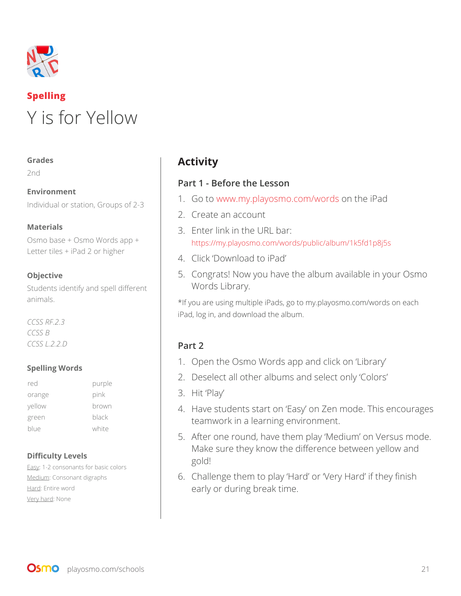

# **Spelling** Y is for Yellow

#### **Grades**

2nd

**Environment**  Individual or station, Groups of 2-3

#### **Materials**

Osmo base + Osmo Words app + Letter tiles + iPad 2 or higher

#### **Objective**

Students identify and spell different animals.

*CCSS RF.2.3 CCSS B CCSS L.2.2.D*

#### **Spelling Words**

| red    | purple |
|--------|--------|
| orange | pink   |
| yellow | brown  |
| green  | black  |
| blue   | white  |
|        |        |

#### **Difficulty Levels**

Easy: 1-2 consonants for basic colors Medium: Consonant digraphs Hard: Entire word Very hard: None

## **Activity**

#### **Part 1 - Before the Lesson**

- 1. Go to www.my.playosmo.com/words on the iPad
- 2. Create an account
- 3. Enter link in the URL bar: https://my.playosmo.com/words/public/album/1k5fd1p8j5s
- 4. Click 'Download to iPad'
- 5. Congrats! Now you have the album available in your Osmo Words Library.

\*If you are using multiple iPads, go to my.playosmo.com/words on each iPad, log in, and download the album.

## **Part 2**

- 1. Open the Osmo Words app and click on 'Library'
- 2. Deselect all other albums and select only 'Colors'
- 3. Hit 'Play'
- 4. Have students start on 'Easy' on Zen mode. This encourages teamwork in a learning environment.
- 5. After one round, have them play 'Medium' on Versus mode. Make sure they know the difference between yellow and gold!
- 6. Challenge them to play 'Hard' or 'Very Hard' if they finish early or during break time.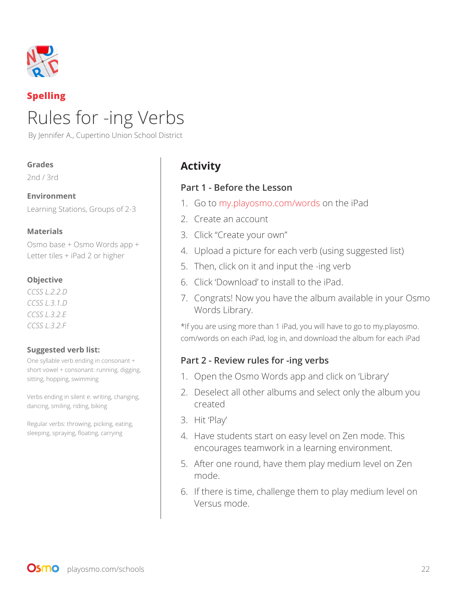

## **Spelling**

# Rules for -ing Verbs

By Jennifer A., Cupertino Union School District

#### **Grades**

2nd / 3rd

#### **Environment**

Learning Stations, Groups of 2-3

#### **Materials**

Osmo base + Osmo Words app + Letter tiles + iPad 2 or higher

#### **Objective**

*CCSS L.2.2.D CCSS L.3.1.D CCSS L.3.2.E CCSS L.3.2.F*

#### **Suggested verb list:**

One syllable verb ending in consonant + short vowel + consonant: running, digging, sitting, hopping, swimming

Verbs ending in silent e: writing, changing, dancing, smiling, riding, biking

Regular verbs: throwing, picking, eating, sleeping, spraying, floating, carrying

## **Activity**

#### **Part 1 - Before the Lesson**

- 1. Go to my.playosmo.com/words on the iPad
- 2. Create an account
- 3. Click "Create your own"
- 4. Upload a picture for each verb (using suggested list)
- 5. Then, click on it and input the -ing verb
- 6. Click 'Download' to install to the iPad.
- 7. Congrats! Now you have the album available in your Osmo Words Library.

\*If you are using more than 1 iPad, you will have to go to my.playosmo. com/words on each iPad, log in, and download the album for each iPad

#### **Part 2 - Review rules for -ing verbs**

- 1. Open the Osmo Words app and click on 'Library'
- 2. Deselect all other albums and select only the album you created
- 3. Hit 'Play'
- 4. Have students start on easy level on Zen mode. This encourages teamwork in a learning environment.
- 5. After one round, have them play medium level on Zen mode.
- 6. If there is time, challenge them to play medium level on Versus mode.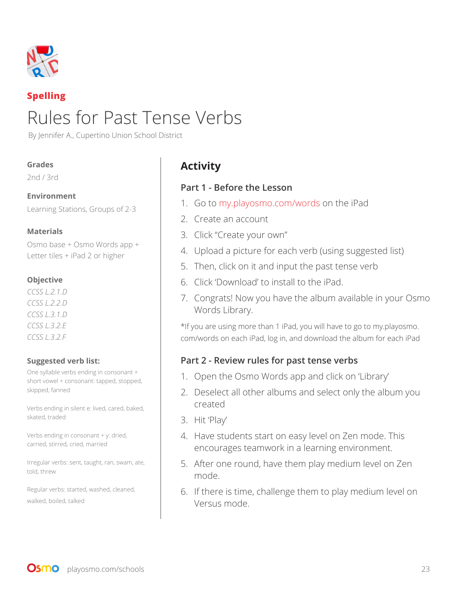

## **Spelling**

# Rules for Past Tense Verbs

By Jennifer A., Cupertino Union School District

#### **Grades**

2nd / 3rd

#### **Environment**

Learning Stations, Groups of 2-3

#### **Materials**

Osmo base + Osmo Words app + Letter tiles + iPad 2 or higher

#### **Objective**

*CCSS L.2.1.D CCSS L.2.2.D CCSS L.3.1.D CCSS L.3.2.E CCSS L.3.2.F*

#### **Suggested verb list:**

One syllable verbs ending in consonant + short vowel + consonant: tapped, stopped, skipped, fanned

Verbs ending in silent e: lived, cared, baked, skated, traded

Verbs ending in consonant + y: dried, carried, stirred, cried, married

Irregular verbs: sent, taught, ran, swam, ate, told, threw

Regular verbs: started, washed, cleaned, walked, boiled, talked

## **Activity**

## **Part 1 - Before the Lesson**

- 1. Go to my.playosmo.com/words on the iPad
- 2. Create an account
- 3. Click "Create your own"
- 4. Upload a picture for each verb (using suggested list)
- 5. Then, click on it and input the past tense verb
- 6. Click 'Download' to install to the iPad.
- 7. Congrats! Now you have the album available in your Osmo Words Library.

\*If you are using more than 1 iPad, you will have to go to my.playosmo. com/words on each iPad, log in, and download the album for each iPad

## **Part 2 - Review rules for past tense verbs**

- 1. Open the Osmo Words app and click on 'Library'
- 2. Deselect all other albums and select only the album you created
- 3. Hit 'Play'
- 4. Have students start on easy level on Zen mode. This encourages teamwork in a learning environment.
- 5. After one round, have them play medium level on Zen mode.
- 6. If there is time, challenge them to play medium level on Versus mode.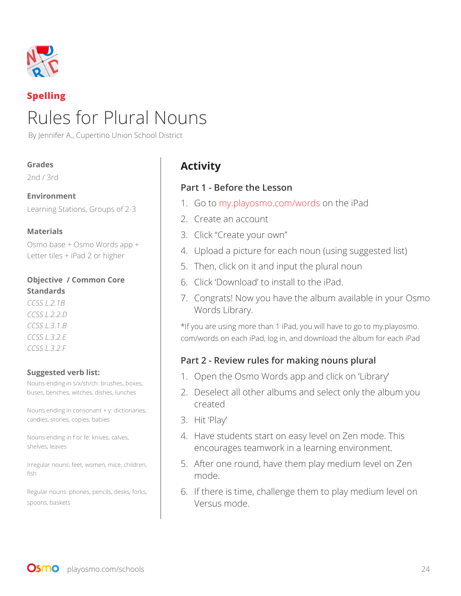

## **Spelling**

# Rules for Plural Nouns

By Jennifer A., Cupertino Union School District

#### **Grades**

2nd / 3rd

#### **Environment**

Learning Stations, Groups of 2-3

#### **Materials**

Osmo base + Osmo Words app + Letter tiles + iPad 2 or higher

#### **Objective / Common Core Standards**

*CCSS L.2.1B CCSS L.2.2.D CCSS L.3.1.B CCSS L.3.2.E CCSS L.3.2.F*

#### **Suggested verb list:**

Nouns ending in s/x/sh/ch: brushes, boxes, buses, benches, witches, dishes, lunches

Nouns ending in consonant + y: dictionaries, candies, stories, copies, babies

Nouns ending in f or fe: knives, calves, shelves, leaves

Irregular nouns: feet, women, mice, children, fish

Regular nouns: phones, pencils, desks, forks, spoons, baskets

## **Activity**

#### **Part 1 - Before the Lesson**

- 1. Go to my.playosmo.com/words on the iPad
- 2. Create an account
- 3. Click "Create your own"
- 4. Upload a picture for each noun (using suggested list)
- 5. Then, click on it and input the plural noun
- 6. Click 'Download' to install to the iPad.
- 7. Congrats! Now you have the album available in your Osmo Words Library.

\*If you are using more than 1 iPad, you will have to go to my.playosmo. com/words on each iPad, log in, and download the album for each iPad

#### **Part 2 - Review rules for making nouns plural**

- 1. Open the Osmo Words app and click on 'Library'
- 2. Deselect all other albums and select only the album you created
- 3. Hit 'Play'
- 4. Have students start on easy level on Zen mode. This encourages teamwork in a learning environment.
- 5. After one round, have them play medium level on Zen mode.
- 6. If there is time, challenge them to play medium level on Versus mode.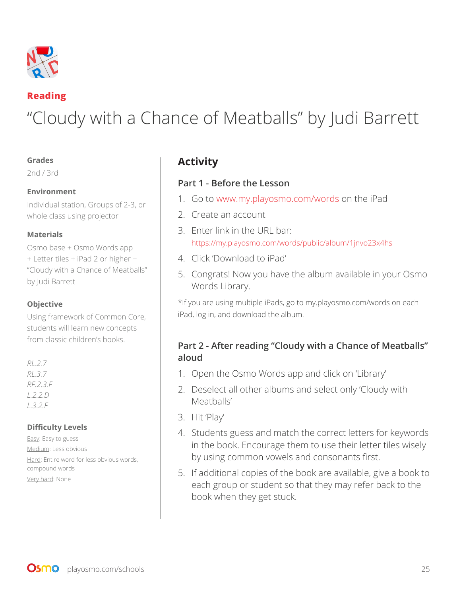

### **Reading**

# "Cloudy with a Chance of Meatballs" by Judi Barrett

#### **Grades**

2nd / 3rd

#### **Environment**

Individual station, Groups of 2-3, or whole class using projector

#### **Materials**

Osmo base + Osmo Words app + Letter tiles + iPad 2 or higher + "Cloudy with a Chance of Meatballs" by Judi Barrett

#### **Objective**

Using framework of Common Core, students will learn new concepts from classic children's books.

| RL.2.7  |  |          |  |
|---------|--|----------|--|
| RL.3.7  |  |          |  |
|         |  | RF.2.3.F |  |
|         |  | L.2.2.D  |  |
| L.3.2.F |  |          |  |

#### **Difficulty Levels**

Easy: Easy to guess Medium: Less obvious Hard: Entire word for less obvious words, compound words Very hard: None

## **Activity**

## **Part 1 - Before the Lesson**

- 1. Go to www.my.playosmo.com/words on the iPad
- 2. Create an account
- 3. Enter link in the URL bar: https://my.playosmo.com/words/public/album/1jnvo23x4hs
- 4. Click 'Download to iPad'
- 5. Congrats! Now you have the album available in your Osmo Words Library.

\*If you are using multiple iPads, go to my.playosmo.com/words on each iPad, log in, and download the album.

## **Part 2 - After reading "Cloudy with a Chance of Meatballs" aloud**

- 1. Open the Osmo Words app and click on 'Library'
- 2. Deselect all other albums and select only 'Cloudy with Meatballs'
- 3. Hit 'Play'
- 4. Students guess and match the correct letters for keywords in the book. Encourage them to use their letter tiles wisely by using common vowels and consonants first.
- 5. If additional copies of the book are available, give a book to each group or student so that they may refer back to the book when they get stuck.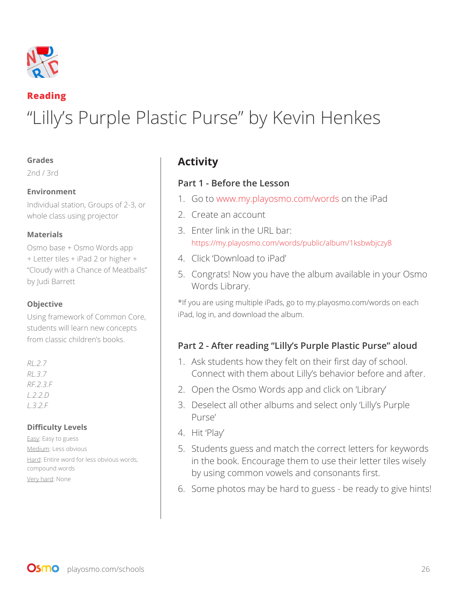

## **Reading** "Lilly's Purple Plastic Purse" by Kevin Henkes

#### **Grades**

2nd / 3rd

#### **Environment**

Individual station, Groups of 2-3, or whole class using projector

#### **Materials**

Osmo base + Osmo Words app + Letter tiles + iPad 2 or higher + "Cloudy with a Chance of Meatballs" by Judi Barrett

#### **Objective**

Using framework of Common Core, students will learn new concepts from classic children's books.

#### *RL.2.7 RL.3.7 RF.2.3.F L.2.2.D L.3.2.F*

#### **Difficulty Levels**

Easy: Easy to guess Medium: Less obvious Hard: Entire word for less obvious words, compound words Very hard: None

## **Activity**

#### **Part 1 - Before the Lesson**

- 1. Go to www.my.playosmo.com/words on the iPad
- 2. Create an account
- 3. Enter link in the URL bar: https://my.playosmo.com/words/public/album/1ksbwbjczy8
- 4. Click 'Download to iPad'
- 5. Congrats! Now you have the album available in your Osmo Words Library.

\*If you are using multiple iPads, go to my.playosmo.com/words on each iPad, log in, and download the album.

## **Part 2 - After reading "Lilly's Purple Plastic Purse" aloud**

- 1. Ask students how they felt on their first day of school. Connect with them about Lilly's behavior before and after.
- 2. Open the Osmo Words app and click on 'Library'
- 3. Deselect all other albums and select only 'Lilly's Purple Purse'
- 4. Hit 'Play'
- 5. Students guess and match the correct letters for keywords in the book. Encourage them to use their letter tiles wisely by using common vowels and consonants first.
- 6. Some photos may be hard to guess be ready to give hints!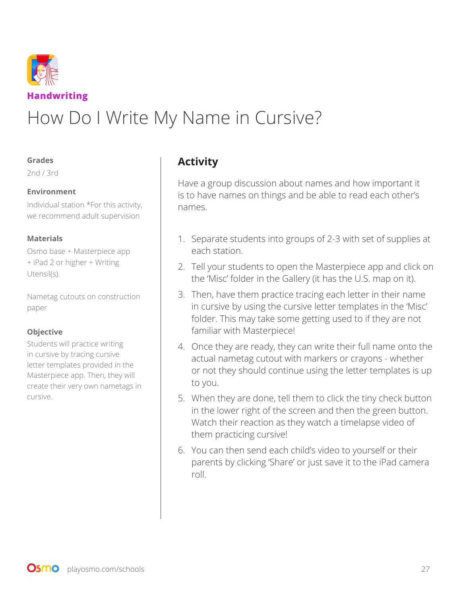

# How Do I Write My Name in Cursive?

#### **Grades**

2nd / 3rd

#### **Environment**

Individual station \*For this activity, we recommend adult supervision

#### **Materials**

Osmo base + Masterpiece app + iPad 2 or higher + Writing Utensil(s).

Nametag cutouts on construction paper

#### **Objective**

Students will practice writing in cursive by tracing cursive letter templates provided in the Masterpiece app. Then, they will create their very own nametags in cursive.

## **Activity**

Have a group discussion about names and how important it is to have names on things and be able to read each other's names.

- 1. Separate students into groups of 2-3 with set of supplies at each station.
- 2. Tell your students to open the Masterpiece app and click on the 'Misc' folder in the Gallery (it has the U.S. map on it).
- 3. Then, have them practice tracing each letter in their name in cursive by using the cursive letter templates in the 'Misc' folder. This may take some getting used to if they are not familiar with Masterpiece!
- 4. Once they are ready, they can write their full name onto the actual nametag cutout with markers or crayons - whether or not they should continue using the letter templates is up to you.
- 5. When they are done, tell them to click the tiny check button in the lower right of the screen and then the green button. Watch their reaction as they watch a timelapse video of them practicing cursive!
- 6. You can then send each child's video to yourself or their parents by clicking 'Share' or just save it to the iPad camera roll.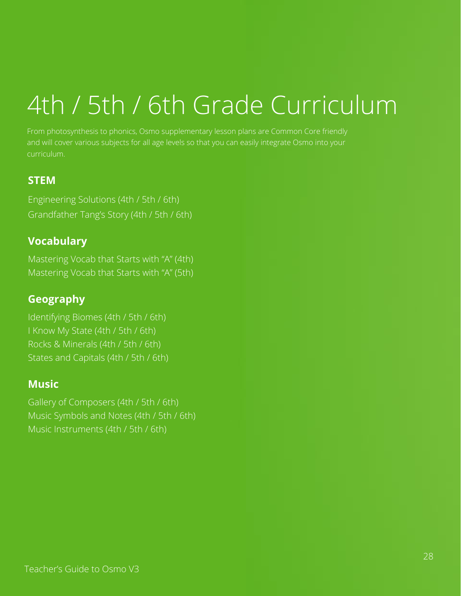# 4th / 5th / 6th Grade Curriculum

From photosynthesis to phonics, Osmo supplementary lesson plans are Common Core friendly and will cover various subjects for all age levels so that you can easily integrate Osmo into your curriculum.

## **STEM**

Engineering Solutions (4th / 5th / 6th) Grandfather Tang's Story (4th / 5th / 6th)

## **Vocabulary**

Mastering Vocab that Starts with "A" (4th) Mastering Vocab that Starts with "A" (5th)

## **Geography**

Identifying Biomes (4th / 5th / 6th) I Know My State (4th / 5th / 6th) Rocks & Minerals (4th / 5th / 6th) States and Capitals (4th / 5th / 6th)

## **Music**

Gallery of Composers (4th / 5th / 6th) Music Symbols and Notes (4th / 5th / 6th) Music Instruments (4th / 5th / 6th)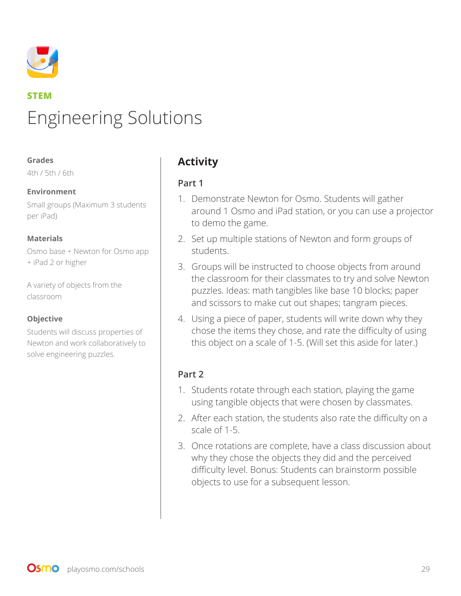

# **STEM** Engineering Solutions

#### **Grades**

4th / 5th / 6th

#### **Environment**

Small groups (Maximum 3 students per iPad)

#### **Materials**

Osmo base + Newton for Osmo app + iPad 2 or higher

A variety of objects from the classroom

#### **Objective**

Students will discuss properties of Newton and work collaboratively to solve engineering puzzles.

## **Activity**

#### **Part 1**

- 1. Demonstrate Newton for Osmo. Students will gather around 1 Osmo and iPad station, or you can use a projector to demo the game.
- 2. Set up multiple stations of Newton and form groups of students.
- 3. Groups will be instructed to choose objects from around the classroom for their classmates to try and solve Newton puzzles. Ideas: math tangibles like base 10 blocks; paper and scissors to make cut out shapes; tangram pieces.
- 4. Using a piece of paper, students will write down why they chose the items they chose, and rate the difficulty of using this object on a scale of 1-5. (Will set this aside for later.)

## **Part 2**

- 1. Students rotate through each station, playing the game using tangible objects that were chosen by classmates.
- 2. After each station, the students also rate the difficulty on a scale of 1-5.
- 3. Once rotations are complete, have a class discussion about why they chose the objects they did and the perceived difficulty level. Bonus: Students can brainstorm possible objects to use for a subsequent lesson.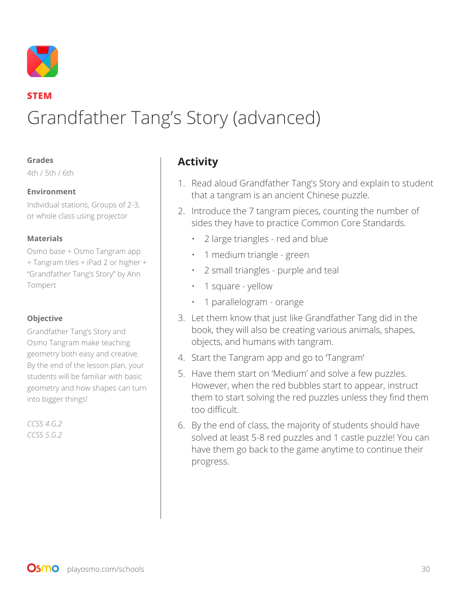

## **STEM** Grandfather Tang's Story (advanced)

#### **Grades**

4th / 5th / 6th

#### **Environment**

Individual stations, Groups of 2-3, or whole class using projector

#### **Materials**

Osmo base + Osmo Tangram app + Tangram tiles + iPad 2 or higher + "Grandfather Tang's Story" by Ann Tompert

#### **Objective**

Grandfather Tang's Story and Osmo Tangram make teaching geometry both easy and creative. By the end of the lesson plan, your students will be familiar with basic geometry and how shapes can turn into bigger things!

*CCSS 4.G.2 CCSS 5.G.2*

## **Activity**

- 1. Read aloud Grandfather Tang's Story and explain to student that a tangram is an ancient Chinese puzzle.
- 2. Introduce the 7 tangram pieces, counting the number of sides they have to practice Common Core Standards.
	- 2 large triangles red and blue
	- 1 medium triangle green
	- 2 small triangles purple and teal
	- 1 square yellow
	- 1 parallelogram orange
- 3. Let them know that just like Grandfather Tang did in the book, they will also be creating various animals, shapes, objects, and humans with tangram.
- 4. Start the Tangram app and go to 'Tangram'
- 5. Have them start on 'Medium' and solve a few puzzles. However, when the red bubbles start to appear, instruct them to start solving the red puzzles unless they find them too difficult.
- 6. By the end of class, the majority of students should have solved at least 5-8 red puzzles and 1 castle puzzle! You can have them go back to the game anytime to continue their progress.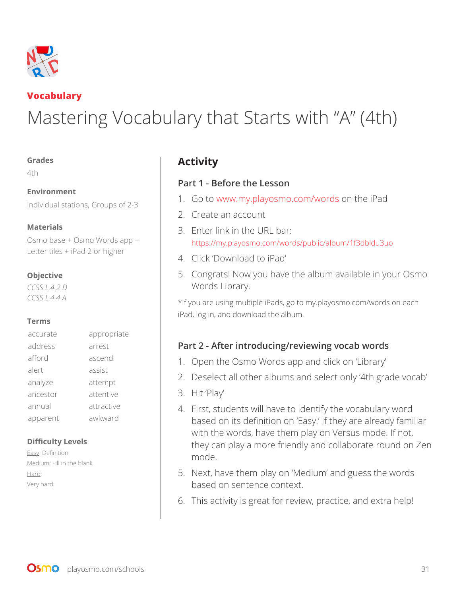

## **Vocabulary**

# Mastering Vocabulary that Starts with "A" (4th)

#### **Grades**

4th

#### **Environment**

Individual stations, Groups of 2-3

#### **Materials**

Osmo base + Osmo Words app + Letter tiles + iPad 2 or higher

#### **Objective**

*CCSS L.4.2.D CCSS L.4.4.A*

#### **Terms**

| accurate | appropriate |
|----------|-------------|
| address  | arrest      |
| afford   | ascend      |
| alert    | assist      |
| analyze  | attempt     |
| ancestor | attentive   |
| annual   | attractive  |
| apparent | awkward     |

#### **Difficulty Levels**

Easy: Definition Medium: Fill in the blank Hard: Very hard:

## **Activity**

#### **Part 1 - Before the Lesson**

- 1. Go to www.my.playosmo.com/words on the iPad
- 2. Create an account
- 3. Enter link in the URL bar: https://my.playosmo.com/words/public/album/1f3dbldu3uo
- 4. Click 'Download to iPad'
- 5. Congrats! Now you have the album available in your Osmo Words Library.

\*If you are using multiple iPads, go to my.playosmo.com/words on each iPad, log in, and download the album.

## **Part 2 - After introducing/reviewing vocab words**

- 1. Open the Osmo Words app and click on 'Library'
- 2. Deselect all other albums and select only '4th grade vocab'
- 3. Hit 'Play'
- 4. First, students will have to identify the vocabulary word based on its definition on 'Easy.' If they are already familiar with the words, have them play on Versus mode. If not, they can play a more friendly and collaborate round on Zen mode.
- 5. Next, have them play on 'Medium' and guess the words based on sentence context.
- 6. This activity is great for review, practice, and extra help!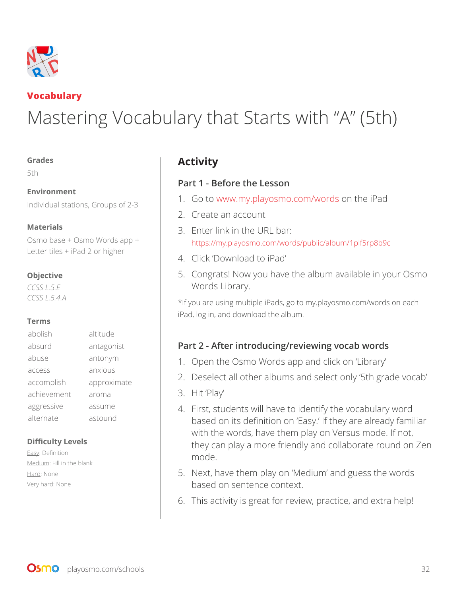

## **Vocabulary**

# Mastering Vocabulary that Starts with "A" (5th)

#### **Grades**

5th

#### **Environment**

Individual stations, Groups of 2-3

#### **Materials**

Osmo base + Osmo Words app + Letter tiles + iPad 2 or higher

#### **Objective**

*CCSS L.5.E CCSS L.5.4.A*

#### **Terms**

| abolish     | altitude    |
|-------------|-------------|
| absurd      | antagonist  |
| abuse       | antonym     |
| access      | anxious     |
| accomplish  | approximate |
| achievement | aroma       |
| aggressive  | assume      |
| alternate   | astound     |

#### **Difficulty Levels**

Easy: Definition Medium: Fill in the blank Hard: None Very hard: None

## **Activity**

#### **Part 1 - Before the Lesson**

- 1. Go to www.my.playosmo.com/words on the iPad
- 2. Create an account
- 3. Enter link in the URL bar: https://my.playosmo.com/words/public/album/1plf5rp8b9c
- 4. Click 'Download to iPad'
- 5. Congrats! Now you have the album available in your Osmo Words Library.

\*If you are using multiple iPads, go to my.playosmo.com/words on each iPad, log in, and download the album.

## **Part 2 - After introducing/reviewing vocab words**

- 1. Open the Osmo Words app and click on 'Library'
- 2. Deselect all other albums and select only '5th grade vocab'
- 3. Hit 'Play'
- 4. First, students will have to identify the vocabulary word based on its definition on 'Easy.' If they are already familiar with the words, have them play on Versus mode. If not, they can play a more friendly and collaborate round on Zen mode.
- 5. Next, have them play on 'Medium' and guess the words based on sentence context.
- 6. This activity is great for review, practice, and extra help!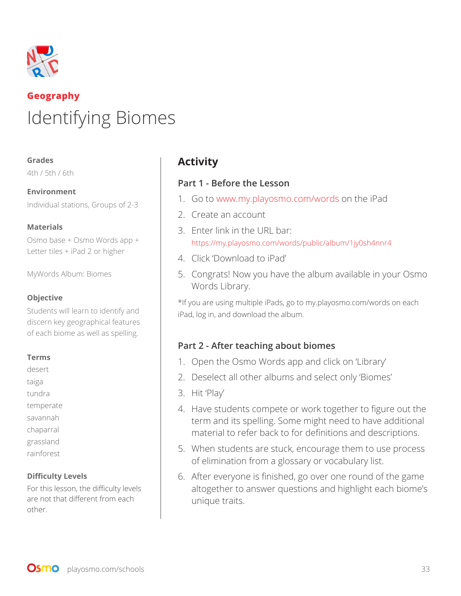

# **Geography** Identifying Biomes

#### **Grades**

4th / 5th / 6th

**Environment**  Individual stations, Groups of 2-3

#### **Materials**

Osmo base + Osmo Words app + Letter tiles + iPad 2 or higher

MyWords Album: Biomes

#### **Objective**

Students will learn to identify and discern key geographical features of each biome as well as spelling.

#### **Terms**

desert taiga tundra temperate savannah chaparral grassland rainforest

#### **Difficulty Levels**

For this lesson, the difficulty levels are not that different from each other.

## **Activity**

#### **Part 1 - Before the Lesson**

- 1. Go to www.my.playosmo.com/words on the iPad
- 2. Create an account
- 3. Enter link in the URL bar: https://my.playosmo.com/words/public/album/1jy0sh4nnr4
- 4. Click 'Download to iPad'
- 5. Congrats! Now you have the album available in your Osmo Words Library.

\*If you are using multiple iPads, go to my.playosmo.com/words on each iPad, log in, and download the album.

#### **Part 2 - After teaching about biomes**

- 1. Open the Osmo Words app and click on 'Library'
- 2. Deselect all other albums and select only 'Biomes'
- 3. Hit 'Play'
- 4. Have students compete or work together to figure out the term and its spelling. Some might need to have additional material to refer back to for definitions and descriptions.
- 5. When students are stuck, encourage them to use process of elimination from a glossary or vocabulary list.
- 6. After everyone is finished, go over one round of the game altogether to answer questions and highlight each biome's unique traits.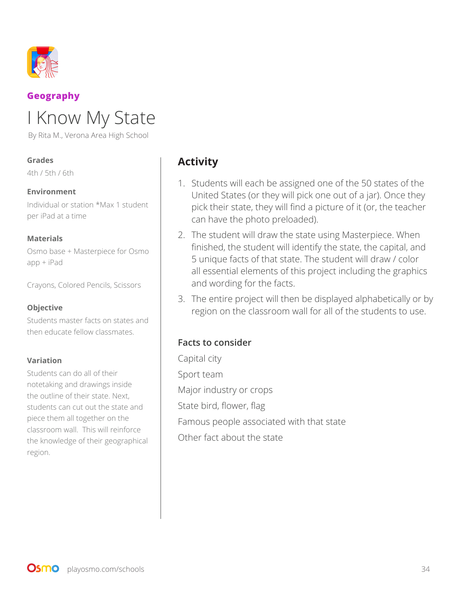

## **Geography**

# I Know My State

By Rita M., Verona Area High School

#### **Grades**

4th / 5th / 6th

#### **Environment**

Individual or station \*Max 1 student per iPad at a time

#### **Materials**

Osmo base + Masterpiece for Osmo app + iPad

Crayons, Colored Pencils, Scissors

#### **Objective**

Students master facts on states and then educate fellow classmates.

#### **Variation**

Students can do all of their notetaking and drawings inside the outline of their state. Next, students can cut out the state and piece them all together on the classroom wall. This will reinforce the knowledge of their geographical region.

## **Activity**

- 1. Students will each be assigned one of the 50 states of the United States (or they will pick one out of a jar). Once they pick their state, they will find a picture of it (or, the teacher can have the photo preloaded).
- 2. The student will draw the state using Masterpiece. When finished, the student will identify the state, the capital, and 5 unique facts of that state. The student will draw / color all essential elements of this project including the graphics and wording for the facts.
- 3. The entire project will then be displayed alphabetically or by region on the classroom wall for all of the students to use.

#### **Facts to consider**

Capital city Sport team Major industry or crops State bird, flower, flag Famous people associated with that state Other fact about the state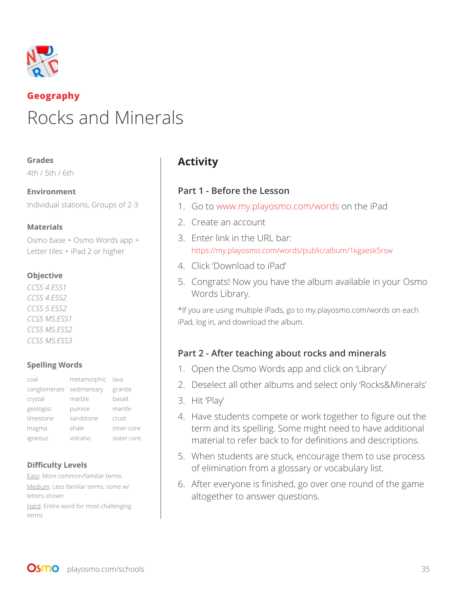

## **Geography** Rocks and Minerals

#### **Grades**

4th / 5th / 6th

**Environment**  Individual stations, Groups of 2-3

#### **Materials**

Osmo base + Osmo Words app + Letter tiles + iPad 2 or higher

#### **Objective**

*CCSS 4.ESS1 CCSS 4.ESS2 CCSS 5.ESS2 CCSS MS.ESS1 CCSS MS.ESS2 CCSS MS.ESS3*

#### **Spelling Words**

| coal                     | metamorphic lava |            |
|--------------------------|------------------|------------|
| conglomerate sedimentary |                  | granite    |
| crystal                  | marble           | basalt     |
| geologist                | pumice           | mantle     |
| limestone                | sandstone        | crust      |
| magma                    | shale            | inner core |
| igneous                  | volcano          | outer core |

#### **Difficulty Levels**

Easy: More common/familiar terms Medium: Less familiar terms, some w/ letters shown

Hard: Entire word for most challenging terms

## **Activity**

#### **Part 1 - Before the Lesson**

- 1. Go to www.my.playosmo.com/words on the iPad
- 2. Create an account
- 3. Enter link in the URL bar: https://my.playosmo.com/words/public/album/1kgaesk5rsw
- 4. Click 'Download to iPad'
- 5. Congrats! Now you have the album available in your Osmo Words Library.

\*If you are using multiple iPads, go to my.playosmo.com/words on each iPad, log in, and download the album.

## **Part 2 - After teaching about rocks and minerals**

- 1. Open the Osmo Words app and click on 'Library'
- 2. Deselect all other albums and select only 'Rocks&Minerals'
- 3. Hit 'Play'
- 4. Have students compete or work together to figure out the term and its spelling. Some might need to have additional material to refer back to for definitions and descriptions.
- 5. When students are stuck, encourage them to use process of elimination from a glossary or vocabulary list.
- 6. After everyone is finished, go over one round of the game altogether to answer questions.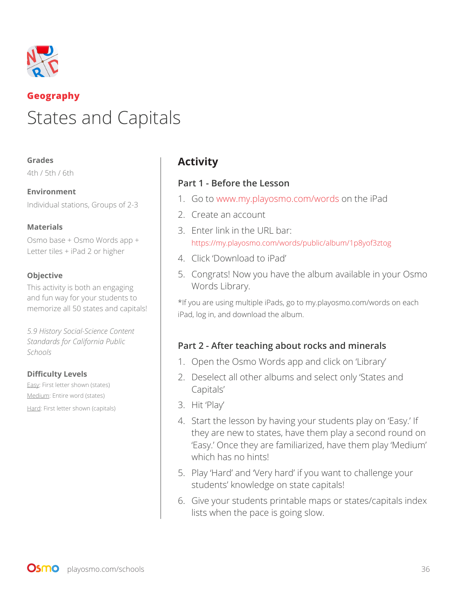

## **Geography** States and Capitals

#### **Grades**

4th / 5th / 6th

**Environment**  Individual stations, Groups of 2-3

#### **Materials**

Osmo base + Osmo Words app + Letter tiles + iPad 2 or higher

#### **Objective**

This activity is both an engaging and fun way for your students to memorize all 50 states and capitals!

*5.9 History Social-Science Content Standards for California Public Schools*

#### **Difficulty Levels**

Easy: First letter shown (states) Medium: Entire word (states)

Hard: First letter shown (capitals)

## **Activity**

#### **Part 1 - Before the Lesson**

- 1. Go to www.my.playosmo.com/words on the iPad
- 2. Create an account
- 3. Enter link in the URL bar: https://my.playosmo.com/words/public/album/1p8yof3ztog
- 4. Click 'Download to iPad'
- 5. Congrats! Now you have the album available in your Osmo Words Library.

\*If you are using multiple iPads, go to my.playosmo.com/words on each iPad, log in, and download the album.

## **Part 2 - After teaching about rocks and minerals**

- 1. Open the Osmo Words app and click on 'Library'
- 2. Deselect all other albums and select only 'States and Capitals'
- 3. Hit 'Play'
- 4. Start the lesson by having your students play on 'Easy.' If they are new to states, have them play a second round on 'Easy.' Once they are familiarized, have them play 'Medium' which has no hints!
- 5. Play 'Hard' and 'Very hard' if you want to challenge your students' knowledge on state capitals!
- 6. Give your students printable maps or states/capitals index lists when the pace is going slow.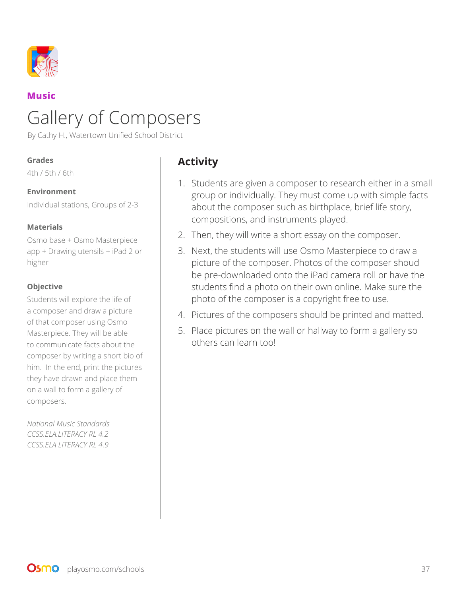

## **Music**

# Gallery of Composers

By Cathy H., Watertown Unified School District

#### **Grades**

4th / 5th / 6th

#### **Environment**

Individual stations, Groups of 2-3

#### **Materials**

Osmo base + Osmo Masterpiece app + Drawing utensils + iPad 2 or higher

#### **Objective**

Students will explore the life of a composer and draw a picture of that composer using Osmo Masterpiece. They will be able to communicate facts about the composer by writing a short bio of him. In the end, print the pictures they have drawn and place them on a wall to form a gallery of composers.

*National Music Standards CCSS.ELA.LITERACY RL 4.2 CCSS.ELA LITERACY RL 4.9*

## **Activity**

- 1. Students are given a composer to research either in a small group or individually. They must come up with simple facts about the composer such as birthplace, brief life story, compositions, and instruments played.
- 2. Then, they will write a short essay on the composer.
- 3. Next, the students will use Osmo Masterpiece to draw a picture of the composer. Photos of the composer shoud be pre-downloaded onto the iPad camera roll or have the students find a photo on their own online. Make sure the photo of the composer is a copyright free to use.
- 4. Pictures of the composers should be printed and matted.
- 5. Place pictures on the wall or hallway to form a gallery so others can learn too!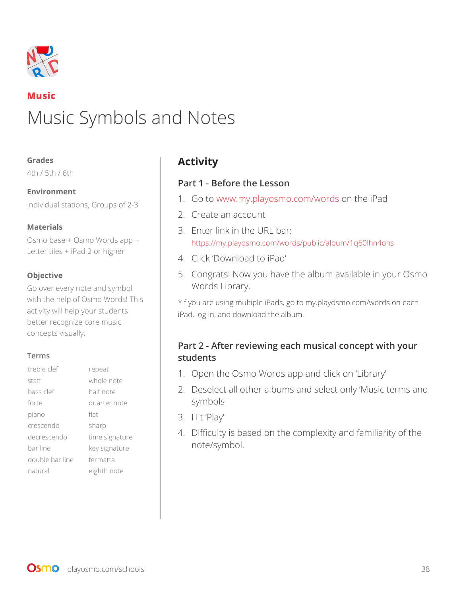

## **Music** Music Symbols and Notes

#### **Grades**

4th / 5th / 6th

**Environment**  Individual stations, Groups of 2-3

#### **Materials**

Osmo base + Osmo Words app + Letter tiles + iPad 2 or higher

#### **Objective**

Go over every note and symbol with the help of Osmo Words! This activity will help your students better recognize core music concepts visually.

#### **Terms**

| treble clef     | repeat         |
|-----------------|----------------|
| staff           | whole note     |
| bass clef       | half note      |
| forte           | quarter note   |
| piano           | flat           |
| crescendo       | sharp          |
| decrescendo     | time signature |
| bar line        | key signature  |
| double bar line | fermatta       |
| natural         | eighth note    |

## **Activity**

#### **Part 1 - Before the Lesson**

- 1. Go to www.my.playosmo.com/words on the iPad
- 2. Create an account
- 3. Enter link in the URL bar: https://my.playosmo.com/words/public/album/1q60lhn4ohs
- 4. Click 'Download to iPad'
- 5. Congrats! Now you have the album available in your Osmo Words Library.

\*If you are using multiple iPads, go to my.playosmo.com/words on each iPad, log in, and download the album.

## **Part 2 - After reviewing each musical concept with your students**

- 1. Open the Osmo Words app and click on 'Library'
- 2. Deselect all other albums and select only 'Music terms and symbols
- 3. Hit 'Play'
- 4. Difficulty is based on the complexity and familiarity of the note/symbol.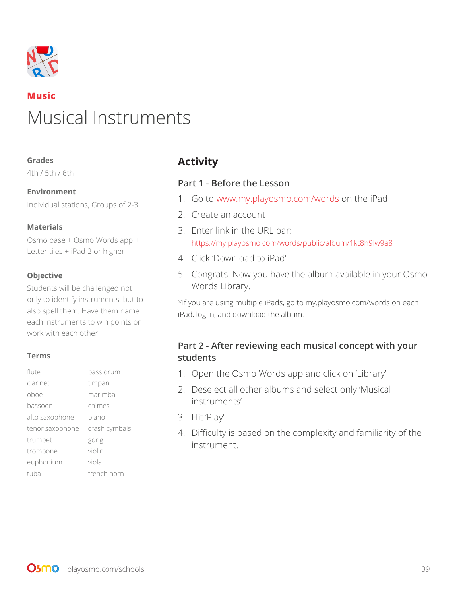

## **Music** Musical Instruments

#### **Grades**

4th / 5th / 6th

**Environment**  Individual stations, Groups of 2-3

#### **Materials**

Osmo base + Osmo Words app + Letter tiles + iPad 2 or higher

#### **Objective**

Students will be challenged not only to identify instruments, but to also spell them. Have them name each instruments to win points or work with each other!

#### **Terms**

| flute           | bass drum     |
|-----------------|---------------|
| clarinet        | timpani       |
| oboe            | marimba       |
| bassoon         | chimes        |
| alto saxophone  | piano         |
| tenor saxophone | crash cymbals |
| trumpet         | gong          |
| trombone        | violin        |
| euphonium       | viola         |
| tuba            | french horn   |

## **Activity**

#### **Part 1 - Before the Lesson**

- 1. Go to www.my.playosmo.com/words on the iPad
- 2. Create an account
- 3. Enter link in the URL bar: https://my.playosmo.com/words/public/album/1kt8h9lw9a8
- 4. Click 'Download to iPad'
- 5. Congrats! Now you have the album available in your Osmo Words Library.

\*If you are using multiple iPads, go to my.playosmo.com/words on each iPad, log in, and download the album.

#### **Part 2 - After reviewing each musical concept with your students**

- 1. Open the Osmo Words app and click on 'Library'
- 2. Deselect all other albums and select only 'Musical instruments'
- 3. Hit 'Play'
- 4. Difficulty is based on the complexity and familiarity of the instrument.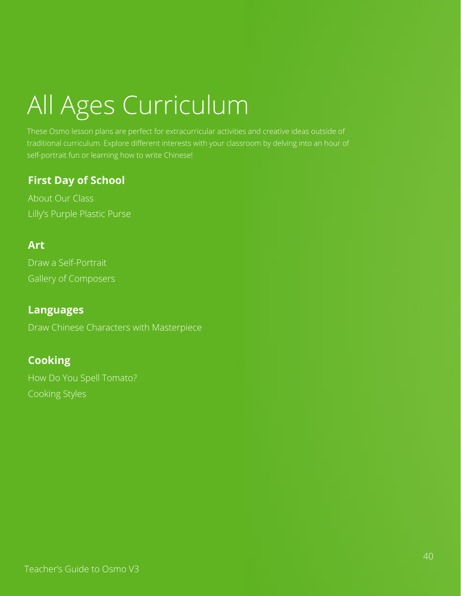# All Ages Curriculum

These Osmo lesson plans are perfect for extracurricular activities and creative ideas outside of traditional curriculum. Explore different interests with your classroom by delving into an hour of self-portrait fun or learning how to write Chinese!

## **First Day of School**

About Our Class Lilly's Purple Plastic Purse

## **Art**

Draw a Self-Portrait Gallery of Composers

## **Languages**

Draw Chinese Characters with Masterpiece

## **Cooking**

How Do You Spell Tomato? Cooking Styles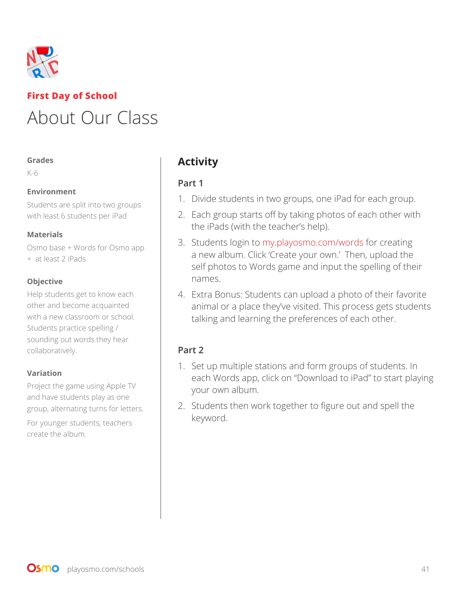

## **First Day of School** About Our Class

#### **Grades**

K-6

#### **Environment**

Students are split into two groups with least 6 students per iPad

#### **Materials**

Osmo base + Words for Osmo app + at least 2 iPads

#### **Objective**

Help students get to know each other and become acquainted with a new classroom or school. Students practice spelling / sounding out words they hear collaboratively.

#### **Variation**

Project the game using Apple TV and have students play as one group, alternating turns for letters.

For younger students, teachers create the album.

## **Activity**

## **Part 1**

- 1. Divide students in two groups, one iPad for each group.
- 2. Each group starts off by taking photos of each other with the iPads (with the teacher's help).
- 3. Students login to my.playosmo.com/words for creating a new album. Click 'Create your own.' Then, upload the self photos to Words game and input the spelling of their names.
- 4. Extra Bonus: Students can upload a photo of their favorite animal or a place they've visited. This process gets students talking and learning the preferences of each other.

## **Part 2**

- 1. Set up multiple stations and form groups of students. In each Words app, click on "Download to iPad" to start playing your own album.
- 2. Students then work together to figure out and spell the keyword.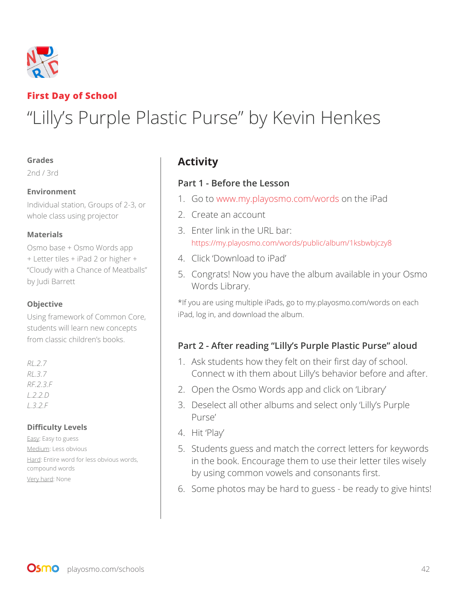

## **First Day of School** "Lilly's Purple Plastic Purse" by Kevin Henkes

#### **Grades**

2nd / 3rd

#### **Environment**

Individual station, Groups of 2-3, or whole class using projector

#### **Materials**

Osmo base + Osmo Words app + Letter tiles + iPad 2 or higher + "Cloudy with a Chance of Meatballs" by Judi Barrett

#### **Objective**

Using framework of Common Core, students will learn new concepts from classic children's books.

#### *RL.2.7 RL.3.7 RF.2.3.F L.2.2.D L.3.2.F*

#### **Difficulty Levels**

Easy: Easy to guess Medium: Less obvious Hard: Entire word for less obvious words, compound words Very hard: None

## **Activity**

#### **Part 1 - Before the Lesson**

- 1. Go to www.my.playosmo.com/words on the iPad
- 2. Create an account
- 3. Enter link in the URL bar: https://my.playosmo.com/words/public/album/1ksbwbjczy8
- 4. Click 'Download to iPad'
- 5. Congrats! Now you have the album available in your Osmo Words Library.

\*If you are using multiple iPads, go to my.playosmo.com/words on each iPad, log in, and download the album.

## **Part 2 - After reading "Lilly's Purple Plastic Purse" aloud**

- 1. Ask students how they felt on their first day of school. Connect w ith them about Lilly's behavior before and after.
- 2. Open the Osmo Words app and click on 'Library'
- 3. Deselect all other albums and select only 'Lilly's Purple Purse'
- 4. Hit 'Play'
- 5. Students guess and match the correct letters for keywords in the book. Encourage them to use their letter tiles wisely by using common vowels and consonants first.
- 6. Some photos may be hard to guess be ready to give hints!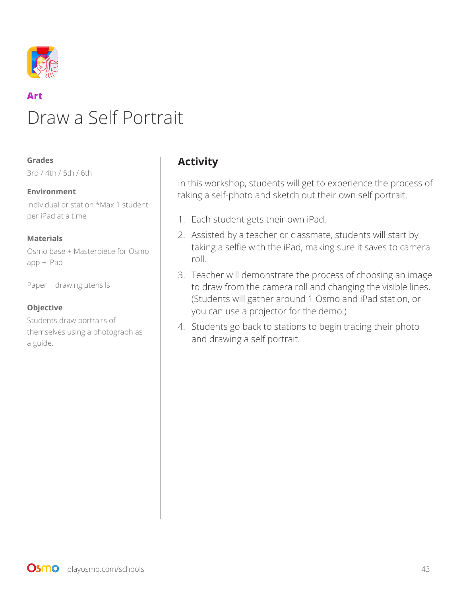

## **Art** Draw a Self Portrait

#### **Grades**

3rd / 4th / 5th / 6th

#### **Environment**

Individual or station \*Max 1 student per iPad at a time

#### **Materials**

Osmo base + Masterpiece for Osmo app + iPad

Paper + drawing utensils

#### **Objective**

Students draw portraits of themselves using a photograph as a guide.

## **Activity**

In this workshop, students will get to experience the process of taking a self-photo and sketch out their own self portrait.

- 1. Each student gets their own iPad.
- 2. Assisted by a teacher or classmate, students will start by taking a selfie with the iPad, making sure it saves to camera roll.
- 3. Teacher will demonstrate the process of choosing an image to draw from the camera roll and changing the visible lines. (Students will gather around 1 Osmo and iPad station, or you can use a projector for the demo.)
- 4. Students go back to stations to begin tracing their photo and drawing a self portrait.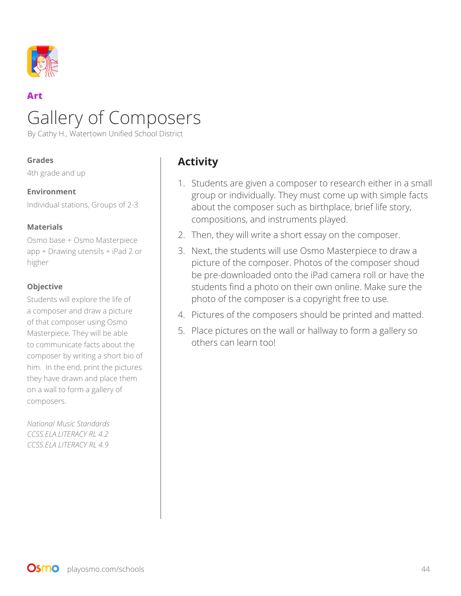

## **Art** Gallery of Composers

By Cathy H., Watertown Unified School District

#### **Grades**

4th grade and up

#### **Environment**

Individual stations, Groups of 2-3

#### **Materials**

Osmo base + Osmo Masterpiece app + Drawing utensils + iPad 2 or higher

#### **Objective**

Students will explore the life of a composer and draw a picture of that composer using Osmo Masterpiece. They will be able to communicate facts about the composer by writing a short bio of him. In the end, print the pictures they have drawn and place them on a wall to form a gallery of composers.

*National Music Standards CCSS.ELA.LITERACY RL 4.2 CCSS.ELA LITERACY RL 4.9*

## **Activity**

- 1. Students are given a composer to research either in a small group or individually. They must come up with simple facts about the composer such as birthplace, brief life story, compositions, and instruments played.
- 2. Then, they will write a short essay on the composer.
- 3. Next, the students will use Osmo Masterpiece to draw a picture of the composer. Photos of the composer shoud be pre-downloaded onto the iPad camera roll or have the students find a photo on their own online. Make sure the photo of the composer is a copyright free to use.
- 4. Pictures of the composers should be printed and matted.
- 5. Place pictures on the wall or hallway to form a gallery so others can learn too!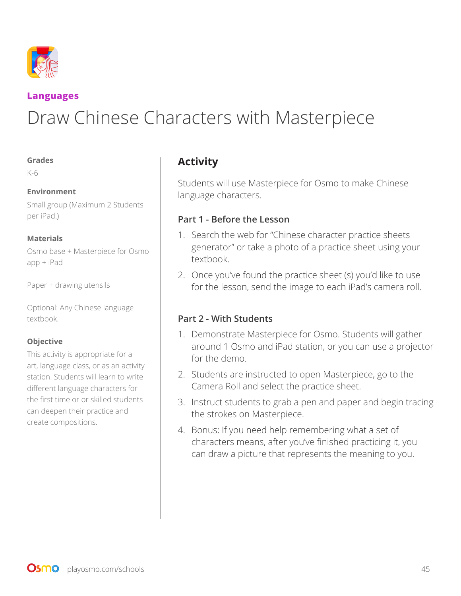

### **Languages**

# Draw Chinese Characters with Masterpiece

#### **Grades**

K-6

#### **Environment**

Small group (Maximum 2 Students per iPad.)

#### **Materials**

Osmo base + Masterpiece for Osmo app + iPad

Paper + drawing utensils

Optional: Any Chinese language textbook.

#### **Objective**

This activity is appropriate for a art, language class, or as an activity station. Students will learn to write different language characters for the first time or or skilled students can deepen their practice and create compositions.

## **Activity**

Students will use Masterpiece for Osmo to make Chinese language characters.

#### **Part 1 - Before the Lesson**

- 1. Search the web for "Chinese character practice sheets generator" or take a photo of a practice sheet using your textbook.
- 2. Once you've found the practice sheet (s) you'd like to use for the lesson, send the image to each iPad's camera roll.

## **Part 2 - With Students**

- 1. Demonstrate Masterpiece for Osmo. Students will gather around 1 Osmo and iPad station, or you can use a projector for the demo.
- 2. Students are instructed to open Masterpiece, go to the Camera Roll and select the practice sheet.
- 3. Instruct students to grab a pen and paper and begin tracing the strokes on Masterpiece.
- 4. Bonus: If you need help remembering what a set of characters means, after you've finished practicing it, you can draw a picture that represents the meaning to you.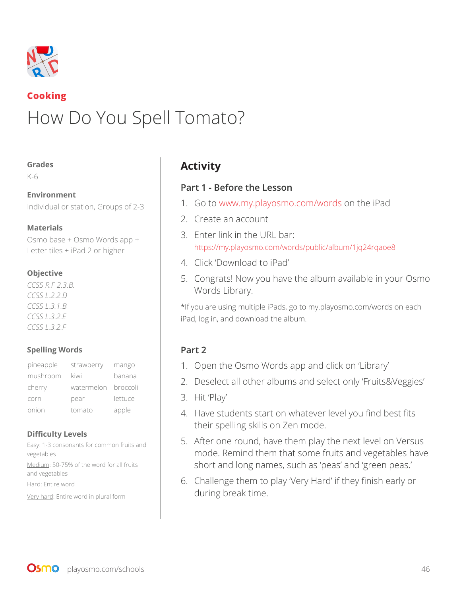

## **Cooking** How Do You Spell Tomato?

#### **Grades**

K-6

#### **Environment**

Individual or station, Groups of 2-3

#### **Materials**

Osmo base + Osmo Words app + Letter tiles + iPad 2 or higher

#### **Objective**

*CCSS R.F 2.3.B. CCSS L.2.2.D CCSS L.3.1.B CCSS L.3.2.E CCSS L.3.2.F*

#### **Spelling Words**

| pineapple | strawberry          | mango   |
|-----------|---------------------|---------|
| mushroom  | kiwi                | banana  |
| cherry    | watermelon broccoli |         |
| corn      | pear                | lettuce |
| onion     | tomato              | apple   |

#### **Difficulty Levels**

Easy: 1-3 consonants for common fruits and vegetables Medium: 50-75% of the word for all fruits and vegetables Hard: Entire word Very hard: Entire word in plural form

## **Activity**

#### **Part 1 - Before the Lesson**

- 1. Go to www.my.playosmo.com/words on the iPad
- 2. Create an account
- 3. Enter link in the URL bar: https://my.playosmo.com/words/public/album/1jq24rqaoe8
- 4. Click 'Download to iPad'
- 5. Congrats! Now you have the album available in your Osmo Words Library.

\*If you are using multiple iPads, go to my.playosmo.com/words on each iPad, log in, and download the album.

## **Part 2**

- 1. Open the Osmo Words app and click on 'Library'
- 2. Deselect all other albums and select only 'Fruits&Veggies'
- 3. Hit 'Play'
- 4. Have students start on whatever level you find best fits their spelling skills on Zen mode.
- 5. After one round, have them play the next level on Versus mode. Remind them that some fruits and vegetables have short and long names, such as 'peas' and 'green peas.'
- 6. Challenge them to play 'Very Hard' if they finish early or during break time.

**OSMO** playosmo.com/schools 46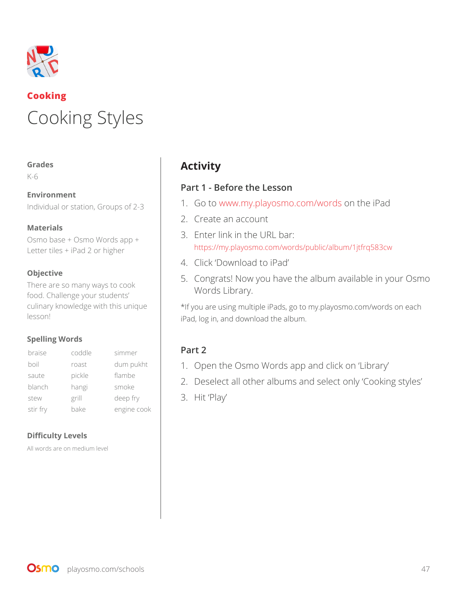

# **Cooking** Cooking Styles

#### **Grades**

K-6

## **Environment**

Individual or station, Groups of 2-3

#### **Materials**

Osmo base + Osmo Words app + Letter tiles + iPad 2 or higher

#### **Objective**

There are so many ways to cook food. Challenge your students' culinary knowledge with this unique lesson!

#### **Spelling Words**

| braise   | coddle | simmer      |
|----------|--------|-------------|
| boil     | roast  | dum pukht   |
| saute    | pickle | flambe      |
| blanch   | hangi  | smoke       |
| stew     | grill  | deep fry    |
| stir fry | bake   | engine cook |

#### **Difficulty Levels**

All words are on medium level

## **Activity**

## **Part 1 - Before the Lesson**

- 1. Go to www.my.playosmo.com/words on the iPad
- 2. Create an account
- 3. Enter link in the URL bar: https://my.playosmo.com/words/public/album/1jtfrq583cw
- 4. Click 'Download to iPad'
- 5. Congrats! Now you have the album available in your Osmo Words Library.

\*If you are using multiple iPads, go to my.playosmo.com/words on each iPad, log in, and download the album.

## **Part 2**

- 1. Open the Osmo Words app and click on 'Library'
- 2. Deselect all other albums and select only 'Cooking styles'
- 3. Hit 'Play'